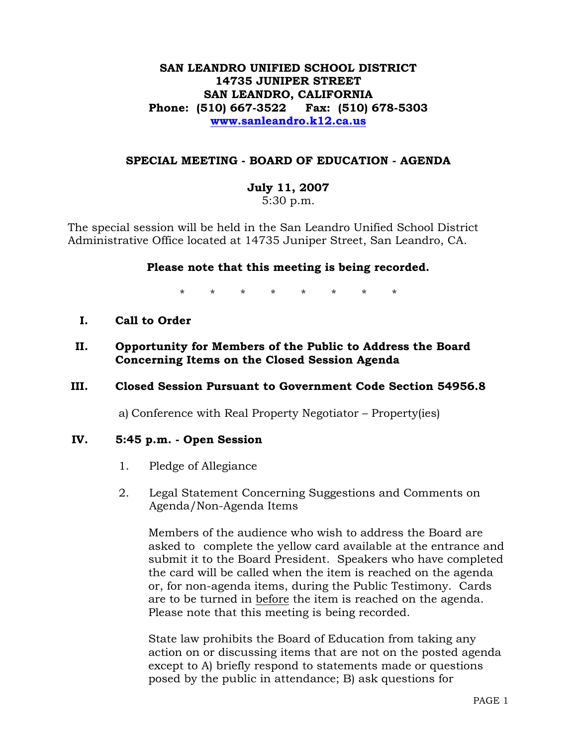# **SAN LEANDRO UNIFIED SCHOOL DISTRICT 14735 JUNIPER STREET SAN LEANDRO, CALIFORNIA Phone: (510) 667-3522 Fax: (510) 678-5303 www.sanleandro.k12.ca.us**

## **SPECIAL MEETING - BOARD OF EDUCATION - AGENDA**

# **July 11, 2007**

5:30 p.m.

The special session will be held in the San Leandro Unified School District Administrative Office located at 14735 Juniper Street, San Leandro, CA.

## **Please note that this meeting is being recorded.**

\* \* \* \* \* \* \* \*

- **I. Call to Order**
- **II. Opportunity for Members of the Public to Address the Board Concerning Items on the Closed Session Agenda**

# **III. Closed Session Pursuant to Government Code Section 54956.8**

a) Conference with Real Property Negotiator – Property(ies)

# **IV. 5:45 p.m. - Open Session**

- 1. Pledge of Allegiance
- 2. Legal Statement Concerning Suggestions and Comments on Agenda/Non-Agenda Items

 Members of the audience who wish to address the Board are asked to complete the yellow card available at the entrance and submit it to the Board President. Speakers who have completed the card will be called when the item is reached on the agenda or, for non-agenda items, during the Public Testimony. Cards are to be turned in before the item is reached on the agenda. Please note that this meeting is being recorded.

State law prohibits the Board of Education from taking any action on or discussing items that are not on the posted agenda except to A) briefly respond to statements made or questions posed by the public in attendance; B) ask questions for